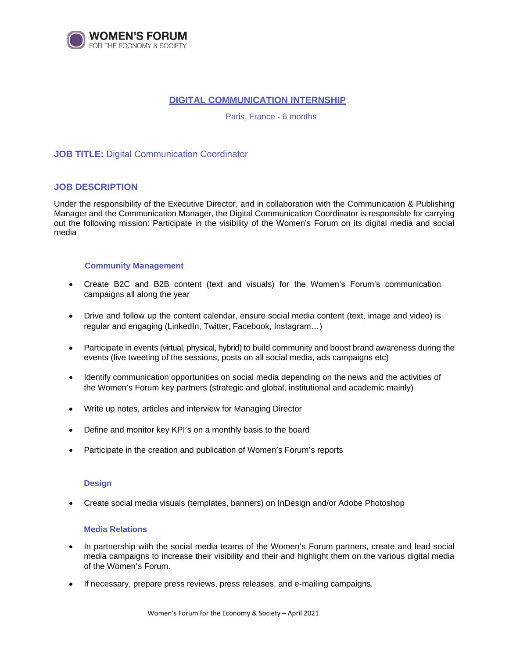

# **DIGITAL COMMUNICATION INTERNSHIP**

Paris, France - 6 months

## **JOB TITLE:** Digital Communication Coordinator

## **JOB DESCRIPTION**

Under the responsibility of the Executive Director, and in collaboration with the Communication & Publishing Manager and the Communication Manager, the Digital Communication Coordinator is responsible for carrying out the following mission: Participate in the visibility of the Women's Forum on its digital media and social media

#### **Community Management**

- Create B2C and B2B content (text and visuals) for the Women's Forum's communication campaigns all along the year
- Drive and follow up the content calendar, ensure social media content (text, image and video) is regular and engaging (LinkedIn, Twitter, Facebook, Instagram…)
- Participate in events (virtual, physical, hybrid) to build community and boost brand awareness during the events (live tweeting of the sessions, posts on all social media, ads campaigns etc)
- Identify communication opportunities on social media depending on the news and the activities of the Women's Forum key partners (strategic and global, institutional and academic mainly)
- Write up notes, articles and interview for Managing Director
- Define and monitor key KPI's on a monthly basis to the board
- Participate in the creation and publication of Women's Forum's reports

#### **Design**

Create social media visuals (templates, banners) on InDesign and/or Adobe Photoshop

### **Media Relations**

- In partnership with the social media teams of the Women's Forum partners, create and lead social media campaigns to increase their visibility and their and highlight them on the various digital media of the Women's Forum.
- If necessary, prepare press reviews, press releases, and e-mailing campaigns.